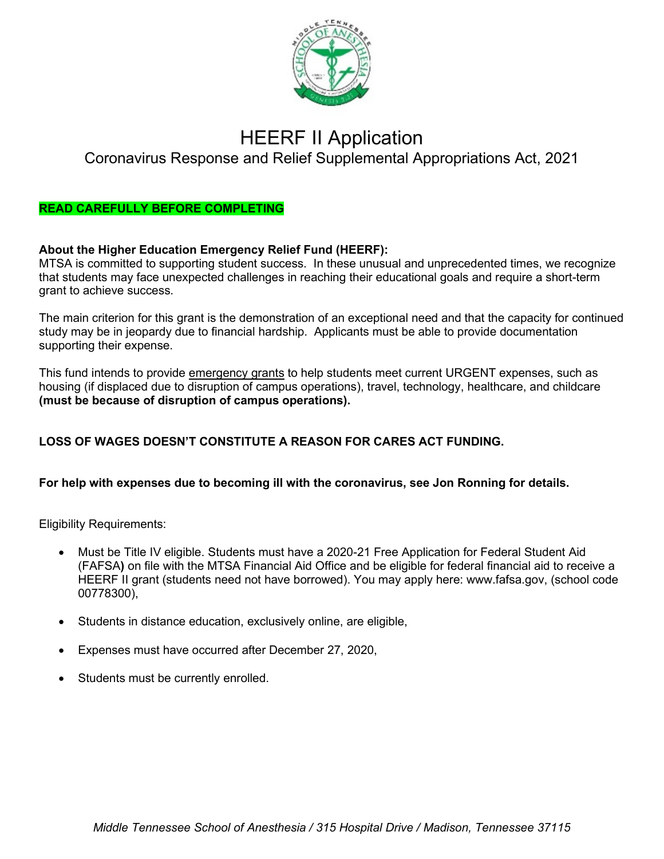

# HEERF II Application

# Coronavirus Response and Relief Supplemental Appropriations Act, 2021

### **READ CAREFULLY BEFORE COMPLETING**

### **About the Higher Education Emergency Relief Fund (HEERF):**

MTSA is committed to supporting student success. In these unusual and unprecedented times, we recognize that students may face unexpected challenges in reaching their educational goals and require a short-term grant to achieve success.

The main criterion for this grant is the demonstration of an exceptional need and that the capacity for continued study may be in jeopardy due to financial hardship. Applicants must be able to provide documentation supporting their expense.

This fund intends to provide emergency grants to help students meet current URGENT expenses, such as housing (if displaced due to disruption of campus operations), travel, technology, healthcare, and childcare **(must be because of disruption of campus operations).** 

# **LOSS OF WAGES DOESN'T CONSTITUTE A REASON FOR CARES ACT FUNDING.**

#### **For help with expenses due to becoming ill with the coronavirus, see Jon Ronning for details.**

Eligibility Requirements:

- Must be Title IV eligible. Students must have a 2020-21 Free Application for Federal Student Aid (FAFSA**)** on file with the MTSA Financial Aid Office and be eligible for federal financial aid to receive a HEERF II grant (students need not have borrowed). You may apply here: www.fafsa.gov, (school code 00778300),
- Students in distance education, exclusively online, are eligible,
- Expenses must have occurred after December 27, 2020,
- Students must be currently enrolled.